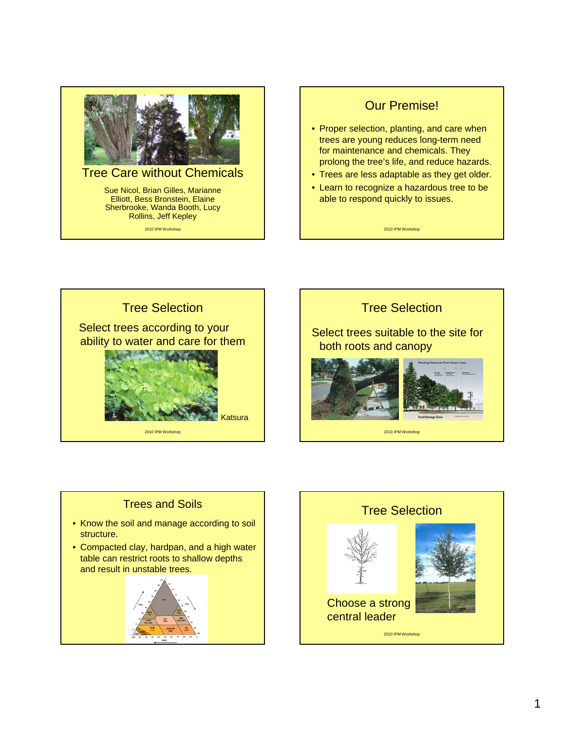

## Tree Care without Chemicals

Sue Nicol, Brian Gilles, Marianne Elliott, Bess Bronstein, Elaine Sherbrooke, Wanda Booth, Lucy Rollins, Jeff Kepley

2010 IPM Workshop

## Our Premise!

- Proper selection, planting, and care when trees are young reduces long-term need for maintenance and chemicals. They prolong the tree's life, and reduce hazards.
- Trees are less adaptable as they get older.
- Learn to recognize a hazardous tree to be able to respond quickly to issues.

2010 IPM Workshop





2010 IPM Workshop

## Trees and Soils

- Know the soil and manage according to soil structure.
- Compacted clay, hardpan, and a high water table can restrict roots to shallow depths and result in unstable trees.



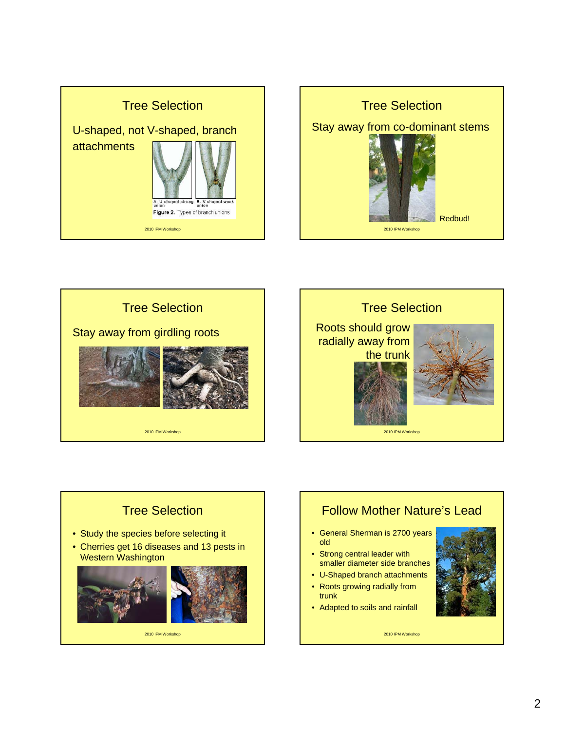









# Follow Mother Nature's Lead

- General Sherman is 2700 years old
- Strong central leader with smaller diameter side branches
- U-Shaped branch attachments
- Roots growing radially from trunk
- Adapted to soils and rainfall

2010 IPM Workshop

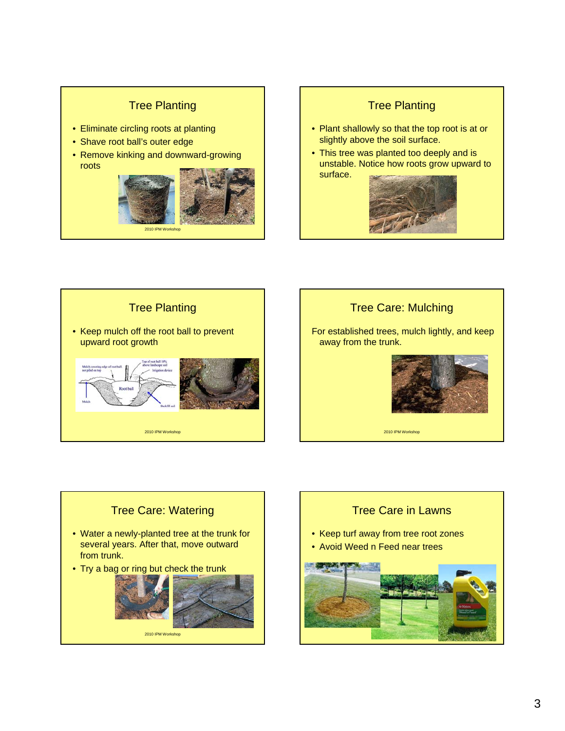## Tree Planting

- Eliminate circling roots at planting
- Shave root ball's outer edge
- Remove kinking and downward-growing roots



# Tree Planting • Plant shallowly so that the top root is at or slightly above the soil surface. • This tree was planted too deeply and is unstable. Notice how roots grow upward to surface.

 $201$